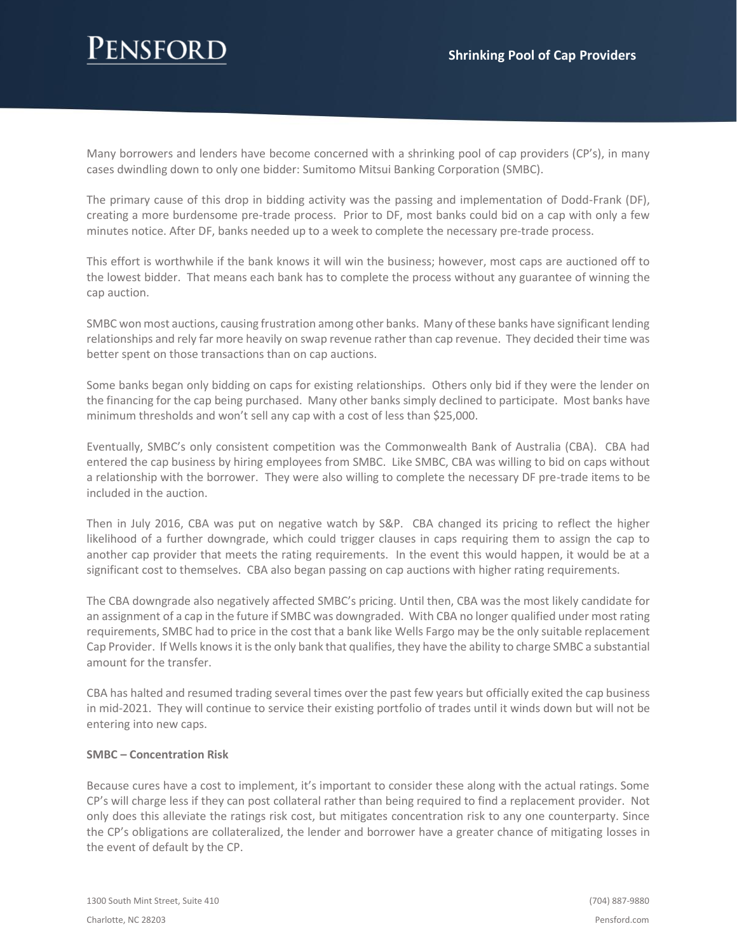# JSFOR

Many borrowers and lenders have become concerned with a shrinking pool of cap providers (CP's), in many cases dwindling down to only one bidder: Sumitomo Mitsui Banking Corporation (SMBC).

The primary cause of this drop in bidding activity was the passing and implementation of Dodd-Frank (DF), creating a more burdensome pre-trade process. Prior to DF, most banks could bid on a cap with only a few minutes notice. After DF, banks needed up to a week to complete the necessary pre-trade process.

This effort is worthwhile if the bank knows it will win the business; however, most caps are auctioned off to the lowest bidder. That means each bank has to complete the process without any guarantee of winning the cap auction.

SMBC won most auctions, causing frustration among other banks. Many of these banks have significant lending relationships and rely far more heavily on swap revenue rather than cap revenue. They decided their time was better spent on those transactions than on cap auctions.

Some banks began only bidding on caps for existing relationships. Others only bid if they were the lender on the financing for the cap being purchased. Many other banks simply declined to participate. Most banks have minimum thresholds and won't sell any cap with a cost of less than \$25,000.

Eventually, SMBC's only consistent competition was the Commonwealth Bank of Australia (CBA). CBA had entered the cap business by hiring employees from SMBC. Like SMBC, CBA was willing to bid on caps without a relationship with the borrower. They were also willing to complete the necessary DF pre-trade items to be included in the auction.

Then in July 2016, CBA was put on negative watch by S&P. CBA changed its pricing to reflect the higher likelihood of a further downgrade, which could trigger clauses in caps requiring them to assign the cap to another cap provider that meets the rating requirements. In the event this would happen, it would be at a significant cost to themselves. CBA also began passing on cap auctions with higher rating requirements.

The CBA downgrade also negatively affected SMBC's pricing. Until then, CBA was the most likely candidate for an assignment of a cap in the future if SMBC was downgraded. With CBA no longer qualified under most rating requirements, SMBC had to price in the cost that a bank like Wells Fargo may be the only suitable replacement Cap Provider. If Wells knows it is the only bank that qualifies, they have the ability to charge SMBC a substantial amount for the transfer.

CBA has halted and resumed trading several times over the past few years but officially exited the cap business in mid-2021. They will continue to service their existing portfolio of trades until it winds down but will not be entering into new caps.

### **SMBC – Concentration Risk**

Because cures have a cost to implement, it's important to consider these along with the actual ratings. Some CP's will charge less if they can post collateral rather than being required to find a replacement provider. Not only does this alleviate the ratings risk cost, but mitigates concentration risk to any one counterparty. Since the CP's obligations are collateralized, the lender and borrower have a greater chance of mitigating losses in the event of default by the CP.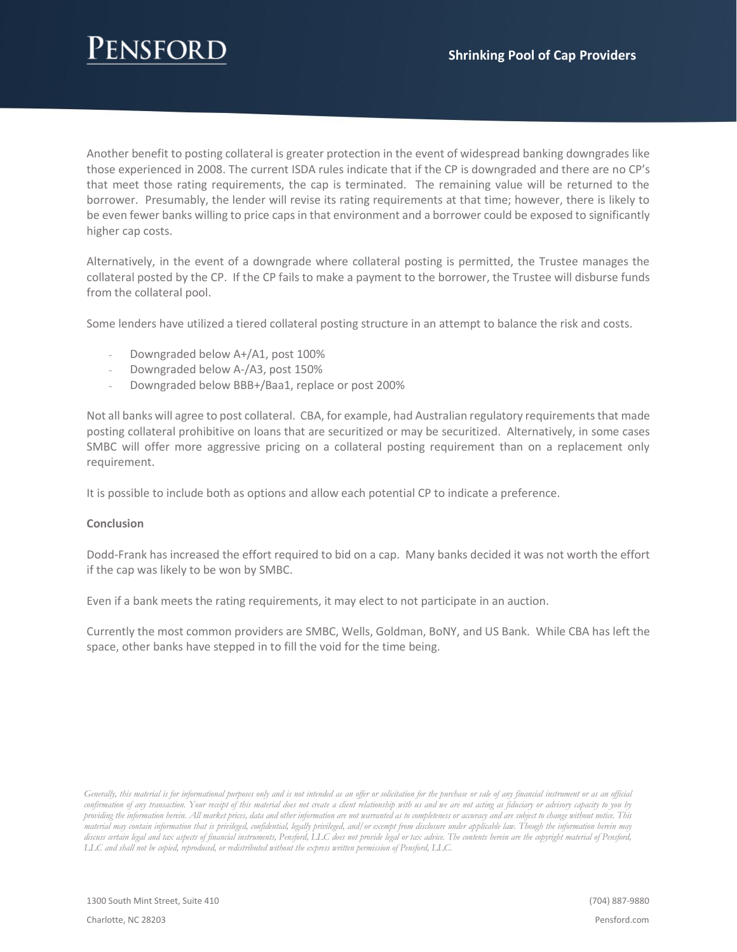### ENSEOR I

Another benefit to posting collateral is greater protection in the event of widespread banking downgrades like those experienced in 2008. The current ISDA rules indicate that if the CP is downgraded and there are no CP's that meet those rating requirements, the cap is terminated. The remaining value will be returned to the borrower. Presumably, the lender will revise its rating requirements at that time; however, there is likely to be even fewer banks willing to price caps in that environment and a borrower could be exposed to significantly higher cap costs.

Alternatively, in the event of a downgrade where collateral posting is permitted, the Trustee manages the collateral posted by the CP. If the CP fails to make a payment to the borrower, the Trustee will disburse funds from the collateral pool.

Some lenders have utilized a tiered collateral posting structure in an attempt to balance the risk and costs.

- Downgraded below A+/A1, post 100%
- Downgraded below A-/A3, post 150%
- Downgraded below BBB+/Baa1, replace or post 200%

Not all banks will agree to post collateral. CBA, for example, had Australian regulatory requirements that made posting collateral prohibitive on loans that are securitized or may be securitized. Alternatively, in some cases SMBC will offer more aggressive pricing on a collateral posting requirement than on a replacement only requirement.

It is possible to include both as options and allow each potential CP to indicate a preference.

### **Conclusion**

Dodd-Frank has increased the effort required to bid on a cap. Many banks decided it was not worth the effort if the cap was likely to be won by SMBC.

Even if a bank meets the rating requirements, it may elect to not participate in an auction.

Currently the most common providers are SMBC, Wells, Goldman, BoNY, and US Bank. While CBA has left the space, other banks have stepped in to fill the void for the time being.

*Generally, this material is for informational purposes only and is not intended as an offer or solicitation for the purchase or sale of any financial instrument or as an official confirmation of any transaction. Your receipt of this material does not create a client relationship with us and we are not acting as fiduciary or advisory capacity to you by providing the information herein. All market prices, data and other information are not warranted as to completeness or accuracy and are subject to change without notice. This material may contain information that is privileged, confidential, legally privileged, and/or exempt from disclosure under applicable law. Though the information herein may discuss certain legal and tax aspects of financial instruments, Pensford, LLC does not provide legal or tax advice. The contents herein are the copyright material of Pensford, LLC and shall not be copied, reproduced, or redistributed without the express written permission of Pensford, LLC.*